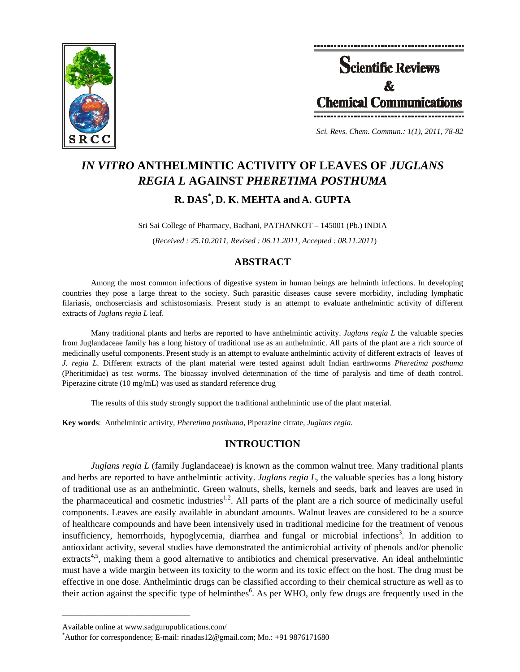



*Sci. Revs. Chem. Commun.: 1(1), 2011, 78-82* 

# *IN VITRO* **ANTHELMINTIC ACTIVITY OF LEAVES OF** *JUGLANS REGIA L* **AGAINST** *PHERETIMA POSTHUMA*

**R. DAS\* , D. K. MEHTA and A. GUPTA** 

Sri Sai College of Pharmacy, Badhani, PATHANKOT – 145001 (Pb.) INDIA

(*Received : 25.10.2011, Revised : 06.11.2011, Accepted : 08.11.2011*)

# **ABSTRACT**

Among the most common infections of digestive system in human beings are helminth infections. In developing countries they pose a large threat to the society. Such parasitic diseases cause severe morbidity, including lymphatic filariasis, onchoserciasis and schistosomiasis. Present study is an attempt to evaluate anthelmintic activity of different extracts of *Juglans regia L* leaf.

Many traditional plants and herbs are reported to have anthelmintic activity. *Juglans regia L* the valuable species from Juglandaceae family has a long history of traditional use as an anthelmintic. All parts of the plant are a rich source of medicinally useful components. Present study is an attempt to evaluate anthelmintic activity of different extracts of leaves of *J. regia L*. Different extracts of the plant material were tested against adult Indian earthworms *Pheretima posthuma* (Pheritimidae) as test worms. The bioassay involved determination of the time of paralysis and time of death control. Piperazine citrate (10 mg/mL) was used as standard reference drug

The results of this study strongly support the traditional anthelmintic use of the plant material.

**Key words**: Anthelmintic activity, *Pheretima posthuma*, Piperazine citrate, *Juglans regia*.

# **INTROUCTION**

*Juglans regia L* (family Juglandaceae) is known as the common walnut tree. Many traditional plants and herbs are reported to have anthelmintic activity. *Juglans regia L*, the valuable species has a long history of traditional use as an anthelmintic. Green walnuts, shells, kernels and seeds, bark and leaves are used in the pharmaceutical and cosmetic industries<sup>1,2</sup>. All parts of the plant are a rich source of medicinally useful components. Leaves are easily available in abundant amounts. Walnut leaves are considered to be a source of healthcare compounds and have been intensively used in traditional medicine for the treatment of venous insufficiency, hemorrhoids, hypoglycemia, diarrhea and fungal or microbial infections<sup>3</sup>. In addition to antioxidant activity, several studies have demonstrated the antimicrobial activity of phenols and/or phenolic extracts<sup>4,5</sup>, making them a good alternative to antibiotics and chemical preservative. An ideal anthelmintic must have a wide margin between its toxicity to the worm and its toxic effect on the host. The drug must be effective in one dose. Anthelmintic drugs can be classified according to their chemical structure as well as to their action against the specific type of helminthes<sup>6</sup>. As per WHO, only few drugs are frequently used in the

**\_\_\_\_\_\_\_\_\_\_\_\_\_\_\_\_\_\_\_\_\_\_\_\_\_\_\_\_\_\_\_\_\_\_\_\_\_\_\_\_**

Available online at www.sadgurupublications.com/ \*

Author for correspondence; E-mail: rinadas12@gmail.com; Mo.: +91 9876171680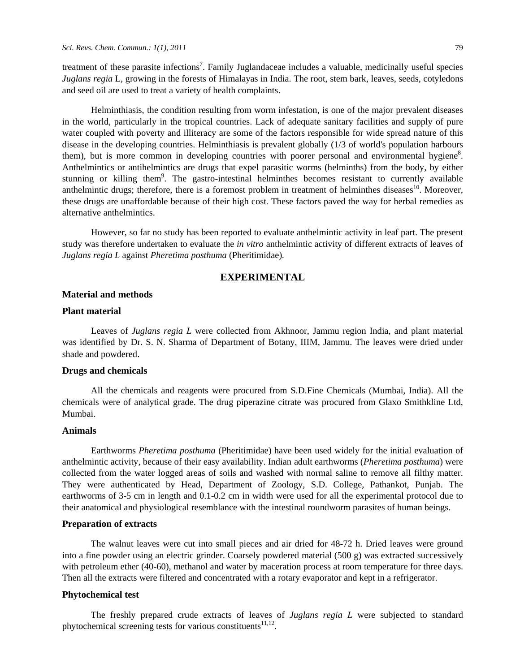treatment of these parasite infections<sup>7</sup>. Family Juglandaceae includes a valuable, medicinally useful species *Juglans regia* L, growing in the forests of Himalayas in India. The root, stem bark, leaves, seeds, cotyledons and seed oil are used to treat a variety of health complaints.

Helminthiasis, the condition resulting from worm infestation, is one of the major prevalent diseases in the world, particularly in the tropical countries. Lack of adequate sanitary facilities and supply of pure water coupled with poverty and illiteracy are some of the factors responsible for wide spread nature of this disease in the developing countries. Helminthiasis is prevalent globally (1/3 of world's population harbours them), but is more common in developing countries with poorer personal and environmental hygiene<sup>8</sup>. Anthelmintics or antihelmintics are drugs that expel parasitic worms (helminths) from the body, by either stunning or killing them<sup>9</sup>. The gastro-intestinal helminthes becomes resistant to currently available anthelmintic drugs; therefore, there is a foremost problem in treatment of helminthes diseases<sup>10</sup>. Moreover, these drugs are unaffordable because of their high cost. These factors paved the way for herbal remedies as alternative anthelmintics.

However, so far no study has been reported to evaluate anthelmintic activity in leaf part. The present study was therefore undertaken to evaluate the *in vitro* anthelmintic activity of different extracts of leaves of *Juglans regia L* against *Pheretima posthuma* (Pheritimidae)*.*

# **EXPERIMENTAL**

## **Material and methods**

#### **Plant material**

Leaves of *Juglans regia L* were collected from Akhnoor, Jammu region India, and plant material was identified by Dr. S. N. Sharma of Department of Botany, IIIM, Jammu. The leaves were dried under shade and powdered.

#### **Drugs and chemicals**

All the chemicals and reagents were procured from S.D.Fine Chemicals (Mumbai, India). All the chemicals were of analytical grade. The drug piperazine citrate was procured from Glaxo Smithkline Ltd, Mumbai.

### **Animals**

Earthworms *Pheretima posthuma* (Pheritimidae) have been used widely for the initial evaluation of anthelmintic activity, because of their easy availability. Indian adult earthworms (*Pheretima posthuma*) were collected from the water logged areas of soils and washed with normal saline to remove all filthy matter. They were authenticated by Head, Department of Zoology, S.D. College, Pathankot, Punjab. The earthworms of 3-5 cm in length and 0.1-0.2 cm in width were used for all the experimental protocol due to their anatomical and physiological resemblance with the intestinal roundworm parasites of human beings.

#### **Preparation of extracts**

The walnut leaves were cut into small pieces and air dried for 48-72 h. Dried leaves were ground into a fine powder using an electric grinder. Coarsely powdered material (500 g) was extracted successively with petroleum ether (40-60), methanol and water by maceration process at room temperature for three days. Then all the extracts were filtered and concentrated with a rotary evaporator and kept in a refrigerator.

## **Phytochemical test**

The freshly prepared crude extracts of leaves of *Juglans regia L* were subjected to standard phytochemical screening tests for various constituents<sup>11,12</sup>.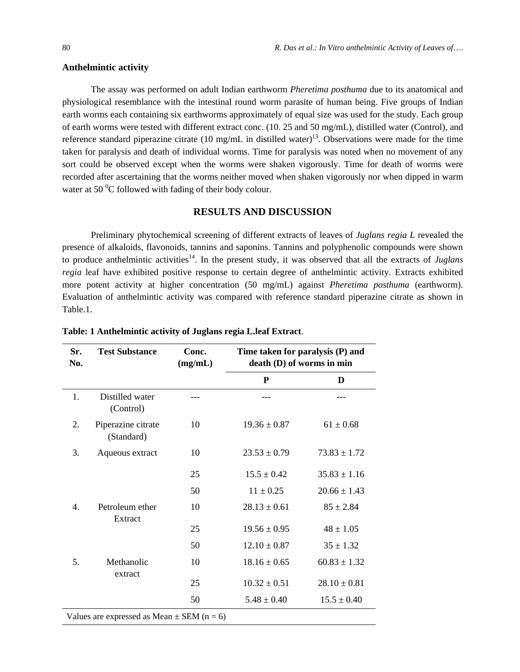#### **Anthelmintic activity**

The assay was performed on adult Indian earthworm *Pheretima posthuma* due to its anatomical and physiological resemblance with the intestinal round worm parasite of human being. Five groups of Indian earth worms each containing six earthworms approximately of equal size was used for the study. Each group of earth worms were tested with different extract conc. (10. 25 and 50 mg/mL), distilled water (Control), and reference standard piperazine citrate (10 mg/mL in distilled water)<sup>13</sup>. Observations were made for the time taken for paralysis and death of individual worms. Time for paralysis was noted when no movement of any sort could be observed except when the worms were shaken vigorously. Time for death of worms were recorded after ascertaining that the worms neither moved when shaken vigorously nor when dipped in warm water at 50 $\mathrm{^{0}C}$  followed with fading of their body colour.

## **RESULTS AND DISCUSSION**

Preliminary phytochemical screening of different extracts of leaves of *Juglans regia L* revealed the presence of alkaloids, flavonoids, tannins and saponins. Tannins and polyphenolic compounds were shown to produce anthelmintic activities<sup>14</sup>. In the present study, it was observed that all the extracts of *Juglans regia* leaf have exhibited positive response to certain degree of anthelmintic activity. Extracts exhibited more potent activity at higher concentration (50 mg/mL) against *Pheretima posthuma* (earthworm). Evaluation of anthelmintic activity was compared with reference standard piperazine citrate as shown in Table.1.

| Sr.<br>No.                                     | <b>Test Substance</b>            | Conc.<br>(mg/mL) | Time taken for paralysis (P) and<br>death (D) of worms in min |                  |
|------------------------------------------------|----------------------------------|------------------|---------------------------------------------------------------|------------------|
|                                                |                                  |                  | P                                                             | D                |
| 1.                                             | Distilled water<br>(Control)     |                  |                                                               |                  |
| 2.                                             | Piperazine citrate<br>(Standard) | 10               | $19.36 \pm 0.87$                                              | $61 \pm 0.68$    |
| 3.                                             | Aqueous extract                  | 10               | $23.53 \pm 0.79$                                              | $73.83 \pm 1.72$ |
|                                                |                                  | 25               | $15.5 \pm 0.42$                                               | $35.83 \pm 1.16$ |
|                                                |                                  | 50               | $11 \pm 0.25$                                                 | $20.66 \pm 1.43$ |
| $\overline{4}$ .                               | Petroleum ether<br>Extract       | 10               | $28.13 \pm 0.61$                                              | $85 \pm 2.84$    |
|                                                |                                  | 25               | $19.56 \pm 0.95$                                              | $48 \pm 1.05$    |
|                                                |                                  | 50               | $12.10 \pm 0.87$                                              | $35 \pm 1.32$    |
| 5.                                             | Methanolic<br>extract            | 10               | $18.16 \pm 0.65$                                              | $60.83 \pm 1.32$ |
|                                                |                                  | 25               | $10.32 \pm 0.51$                                              | $28.10 \pm 0.81$ |
|                                                |                                  | 50               | $5.48 \pm 0.40$                                               | $15.5 \pm 0.40$  |
| Values are expressed as Mean $\pm$ SEM (n = 6) |                                  |                  |                                                               |                  |

#### **Table: 1 Anthelmintic activity of Juglans regia L.leaf Extract**.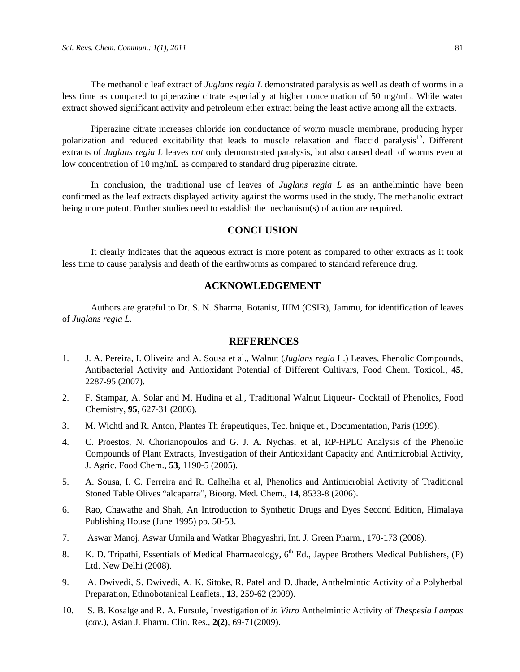The methanolic leaf extract of *Juglans regia L* demonstrated paralysis as well as death of worms in a less time as compared to piperazine citrate especially at higher concentration of 50 mg/mL. While water extract showed significant activity and petroleum ether extract being the least active among all the extracts.

Piperazine citrate increases chloride ion conductance of worm muscle membrane, producing hyper polarization and reduced excitability that leads to muscle relaxation and flaccid paralysis<sup>12</sup>. Different extracts of *Juglans regia L* leaves *not* only demonstrated paralysis, but also caused death of worms even at low concentration of 10 mg/mL as compared to standard drug piperazine citrate.

In conclusion, the traditional use of leaves of *Juglans regia L* as an anthelmintic have been confirmed as the leaf extracts displayed activity against the worms used in the study. The methanolic extract being more potent. Further studies need to establish the mechanism(s) of action are required.

## **CONCLUSION**

It clearly indicates that the aqueous extract is more potent as compared to other extracts as it took less time to cause paralysis and death of the earthworms as compared to standard reference drug.

## **ACKNOWLEDGEMENT**

Authors are grateful to Dr. S. N. Sharma, Botanist, IIIM (CSIR), Jammu, for identification of leaves of *Juglans regia L.*

#### **REFERENCES**

- 1. J. A. Pereira, I. Oliveira and A. Sousa et al., Walnut (*Juglans regia* L.) Leaves, Phenolic Compounds, Antibacterial Activity and Antioxidant Potential of Different Cultivars, Food Chem. Toxicol., **45**, 2287-95 (2007).
- 2. F. Stampar, A. Solar and M. Hudina et al., Traditional Walnut Liqueur- Cocktail of Phenolics, Food Chemistry, **95**, 627-31 (2006).
- 3. M. Wichtl and R. Anton, Plantes Th érapeutiques, Tec. hnique et., Documentation, Paris (1999).
- 4. C. Proestos, N. Chorianopoulos and G. J. A. Nychas, et al, RP-HPLC Analysis of the Phenolic Compounds of Plant Extracts, Investigation of their Antioxidant Capacity and Antimicrobial Activity, J. Agric. Food Chem., **53**, 1190-5 (2005).
- 5. A. Sousa, I. C. Ferreira and R. Calhelha et al, Phenolics and Antimicrobial Activity of Traditional Stoned Table Olives "alcaparra", Bioorg. Med. Chem., **14**, 8533-8 (2006).
- 6. Rao, Chawathe and Shah, An Introduction to Synthetic Drugs and Dyes Second Edition, Himalaya Publishing House (June 1995) pp. 50-53.
- 7. Aswar Manoj, Aswar Urmila and Watkar Bhagyashri, Int. J. Green Pharm., 170-173 (2008).
- 8. K. D. Tripathi, Essentials of Medical Pharmacology, 6<sup>th</sup> Ed., Jaypee Brothers Medical Publishers, (P) Ltd. New Delhi (2008).
- 9. A. Dwivedi, S. Dwivedi, A. K. Sitoke, R. Patel and D. Jhade, Anthelmintic Activity of a Polyherbal Preparation, Ethnobotanical Leaflets., **13**, 259-62 (2009).
- 10. S. B. Kosalge and R. A. Fursule, Investigation of *in Vitro* Anthelmintic Activity of *Thespesia Lampas*  (*cav*.), Asian J. Pharm. Clin. Res., **2(2)**, 69-71(2009).